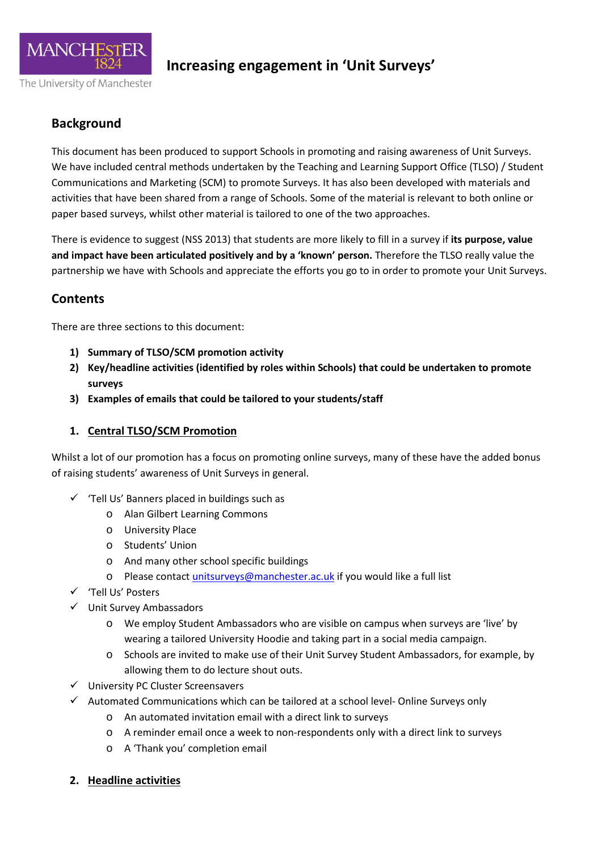

### **Background**

This document has been produced to support Schools in promoting and raising awareness of Unit Surveys. We have included central methods undertaken by the Teaching and Learning Support Office (TLSO) / Student Communications and Marketing (SCM) to promote Surveys. It has also been developed with materials and activities that have been shared from a range of Schools. Some of the material is relevant to both online or paper based surveys, whilst other material is tailored to one of the two approaches.

There is evidence to suggest (NSS 2013) that students are more likely to fill in a survey if **its purpose, value and impact have been articulated positively and by a 'known' person.** Therefore the TLSO really value the partnership we have with Schools and appreciate the efforts you go to in order to promote your Unit Surveys.

### **Contents**

There are three sections to this document:

- **1) Summary of TLSO/SCM promotion activity**
- **2) Key/headline activities (identified by roles within Schools) that could be undertaken to promote surveys**
- **3) Examples of emails that could be tailored to your students/staff**

### **1. Central TLSO/SCM Promotion**

Whilst a lot of our promotion has a focus on promoting online surveys, many of these have the added bonus of raising students' awareness of Unit Surveys in general.

- $\checkmark$  'Tell Us' Banners placed in buildings such as
	- o Alan Gilbert Learning Commons
	- o University Place
	- o Students' Union
	- o And many other school specific buildings
	- o Please contact *unitsurveys@manchester.ac.uk* if you would like a full list
- 'Tell Us' Posters
- $\checkmark$  Unit Survey Ambassadors
	- o We employ Student Ambassadors who are visible on campus when surveys are 'live' by wearing a tailored University Hoodie and taking part in a social media campaign.
	- o Schools are invited to make use of their Unit Survey Student Ambassadors, for example, by allowing them to do lecture shout outs.
- $\checkmark$  University PC Cluster Screensavers
- $\checkmark$  Automated Communications which can be tailored at a school level- Online Surveys only
	- o An automated invitation email with a direct link to surveys
	- o A reminder email once a week to non-respondents only with a direct link to surveys
	- o A 'Thank you' completion email
- **2. Headline activities**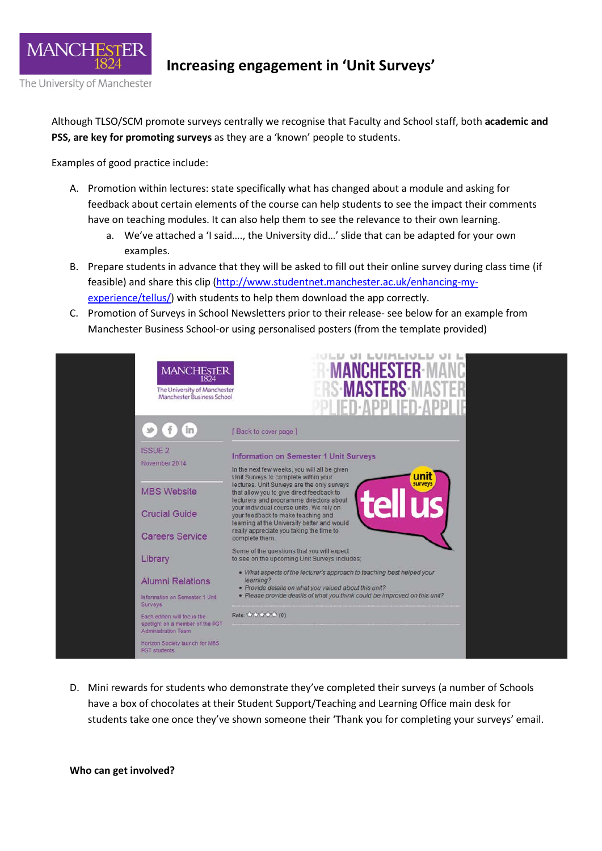

Although TLSO/SCM promote surveys centrally we recognise that Faculty and School staff, both **academic and PSS, are key for promoting surveys** as they are a 'known' people to students.

Examples of good practice include:

- A. Promotion within lectures: state specifically what has changed about a module and asking for feedback about certain elements of the course can help students to see the impact their comments have on teaching modules. It can also help them to see the relevance to their own learning.
	- a. We've attached a 'I said…., the University did…' slide that can be adapted for your own examples.
- B. Prepare students in advance that they will be asked to fill out their online survey during class time (if feasible) and share this clip [\(http://www.studentnet.manchester.ac.uk/enhancing-my](http://www.studentnet.manchester.ac.uk/enhancing-my-experience/tellus/)[experience/tellus/\)](http://www.studentnet.manchester.ac.uk/enhancing-my-experience/tellus/) with students to help them download the app correctly.
- C. Promotion of Surveys in School Newsletters prior to their release- see below for an example from Manchester Business School-or using personalised posters (from the template provided)



D. Mini rewards for students who demonstrate they've completed their surveys (a number of Schools have a box of chocolates at their Student Support/Teaching and Learning Office main desk for students take one once they've shown someone their 'Thank you for completing your surveys' email.

**Who can get involved?**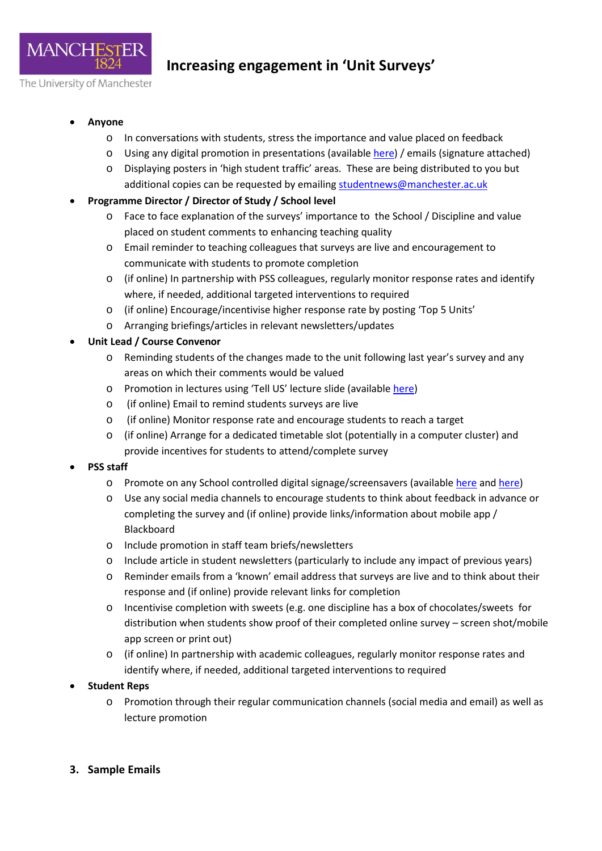

- **Anyone**
	- o In conversations with students, stress the importance and value placed on feedback
	- o Using any digital promotion in presentations (availabl[e here\)](http://documents.manchester.ac.uk/protected/display.aspx?DocID=18542) / emails (signature attached)
	- o Displaying posters in 'high student traffic' areas. These are being distributed to you but additional copies can be requested by emailing [studentnews@manchester.ac.uk](mailto:studentnews@manchester.ac.uk)
- **Programme Director / Director of Study / School level**
	- o Face to face explanation of the surveys' importance to the School / Discipline and value placed on student comments to enhancing teaching quality
	- o Email reminder to teaching colleagues that surveys are live and encouragement to communicate with students to promote completion
	- o (if online) In partnership with PSS colleagues, regularly monitor response rates and identify where, if needed, additional targeted interventions to required
	- o (if online) Encourage/incentivise higher response rate by posting 'Top 5 Units'
	- o Arranging briefings/articles in relevant newsletters/updates
- **Unit Lead / Course Convenor**
	- o Reminding students of the changes made to the unit following last year's survey and any areas on which their comments would be valued
	- o Promotion in lectures using 'Tell US' lecture slide (available [here\)](http://documents.manchester.ac.uk/protected/display.aspx?DocID=18542)
	- o (if online) Email to remind students surveys are live
	- o (if online) Monitor response rate and encourage students to reach a target
	- o (if online) Arrange for a dedicated timetable slot (potentially in a computer cluster) and provide incentives for students to attend/complete survey
- **PSS staff**
	- o Promote on any School controlled digital signage/screensavers (available [here](http://documents.manchester.ac.uk/protected/display.aspx?DocID=18542) an[d here\)](http://documents.manchester.ac.uk/protected/display.aspx?DocID=18543)
	- o Use any social media channels to encourage students to think about feedback in advance or completing the survey and (if online) provide links/information about mobile app / Blackboard
	- o Include promotion in staff team briefs/newsletters
	- o Include article in student newsletters (particularly to include any impact of previous years)
	- o Reminder emails from a 'known' email address that surveys are live and to think about their response and (if online) provide relevant links for completion
	- o Incentivise completion with sweets (e.g. one discipline has a box of chocolates/sweets for distribution when students show proof of their completed online survey – screen shot/mobile app screen or print out)
	- o (if online) In partnership with academic colleagues, regularly monitor response rates and identify where, if needed, additional targeted interventions to required
- **Student Reps**
	- o Promotion through their regular communication channels (social media and email) as well as lecture promotion
- **3. Sample Emails**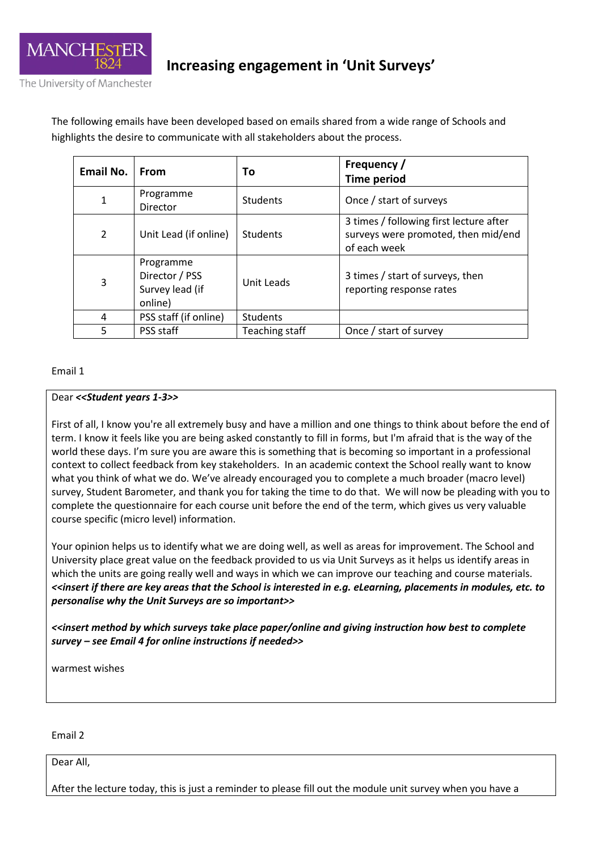

The following emails have been developed based on emails shared from a wide range of Schools and highlights the desire to communicate with all stakeholders about the process.

| <b>Email No.</b> | From                                                      | To              | Frequency /<br><b>Time period</b>                                                              |
|------------------|-----------------------------------------------------------|-----------------|------------------------------------------------------------------------------------------------|
| 1                | Programme<br>Director                                     | <b>Students</b> | Once / start of surveys                                                                        |
| $\overline{2}$   | Unit Lead (if online)                                     | Students        | 3 times / following first lecture after<br>surveys were promoted, then mid/end<br>of each week |
| 3                | Programme<br>Director / PSS<br>Survey lead (if<br>online) | Unit Leads      | 3 times / start of surveys, then<br>reporting response rates                                   |
| 4                | PSS staff (if online)                                     | <b>Students</b> |                                                                                                |
| 5                | PSS staff                                                 | Teaching staff  | Once / start of survey                                                                         |

#### Email 1

#### Dear *<<Student years 1-3>>*

First of all, I know you're all extremely busy and have a million and one things to think about before the end of term. I know it feels like you are being asked constantly to fill in forms, but I'm afraid that is the way of the world these days. I'm sure you are aware this is something that is becoming so important in a professional context to collect feedback from key stakeholders. In an academic context the School really want to know what you think of what we do. We've already encouraged you to complete a much broader (macro level) survey, Student Barometer, and thank you for taking the time to do that. We will now be pleading with you to complete the questionnaire for each course unit before the end of the term, which gives us very valuable course specific (micro level) information.

Your opinion helps us to identify what we are doing well, as well as areas for improvement. The School and University place great value on the feedback provided to us via Unit Surveys as it helps us identify areas in which the units are going really well and ways in which we can improve our teaching and course materials. *<<insert if there are key areas that the School is interested in e.g. eLearning, placements in modules, etc. to personalise why the Unit Surveys are so important>>*

*<<insert method by which surveys take place paper/online and giving instruction how best to complete survey – see Email 4 for online instructions if needed>>*

warmest wishes

Email 2

Dear All,

After the lecture today, this is just a reminder to please fill out the module unit survey when you have a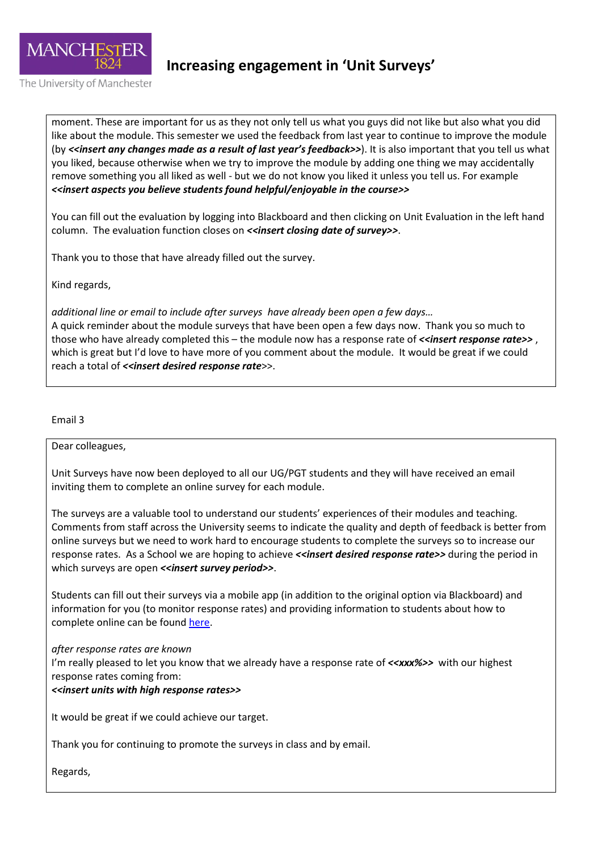

The University of Manchester

**Increasing engagement in 'Unit Surveys'**

moment. These are important for us as they not only tell us what you guys did not like but also what you did like about the module. This semester we used the feedback from last year to continue to improve the module (by <<*insert any changes made as a result of last year's feedback>>)*. It is also important that you tell us what you liked, because otherwise when we try to improve the module by adding one thing we may accidentally remove something you all liked as well - but we do not know you liked it unless you tell us. For example *<<insert aspects you believe students found helpful/enjoyable in the course>>*

You can fill out the evaluation by logging into Blackboard and then clicking on Unit Evaluation in the left hand column. The evaluation function closes on *<<insert closing date of survey>>*.

Thank you to those that have already filled out the survey.

Kind regards,

*additional line or email to include after surveys have already been open a few days…*  A quick reminder about the module surveys that have been open a few days now. Thank you so much to those who have already completed this – the module now has a response rate of  $\prec$ insert response rate >>, which is great but I'd love to have more of you comment about the module. It would be great if we could reach a total of *<<insert desired response rate>>*.

Email 3

Dear colleagues,

Unit Surveys have now been deployed to all our UG/PGT students and they will have received an email inviting them to complete an online survey for each module.

The surveys are a valuable tool to understand our students' experiences of their modules and teaching. Comments from staff across the University seems to indicate the quality and depth of feedback is better from online surveys but we need to work hard to encourage students to complete the surveys so to increase our response rates. As a School we are hoping to achieve *<<insert desired response rate>>* during the period in which surveys are open *<<insert survey period>>*.

Students can fill out their surveys via a mobile app (in addition to the original option via Blackboard) and information for you (to monitor response rates) and providing information to students about how to complete online can be found [here.](http://www.tlso.manchester.ac.uk/quality-framework/questionnaires/supportingdocumentsforschoolsforonlineprocess/)

#### *after response rates are known*

I'm really pleased to let you know that we already have a response rate of *<<xxx%>>* with our highest response rates coming from:

#### *<<insert units with high response rates>>*

It would be great if we could achieve our target.

Thank you for continuing to promote the surveys in class and by email.

Regards,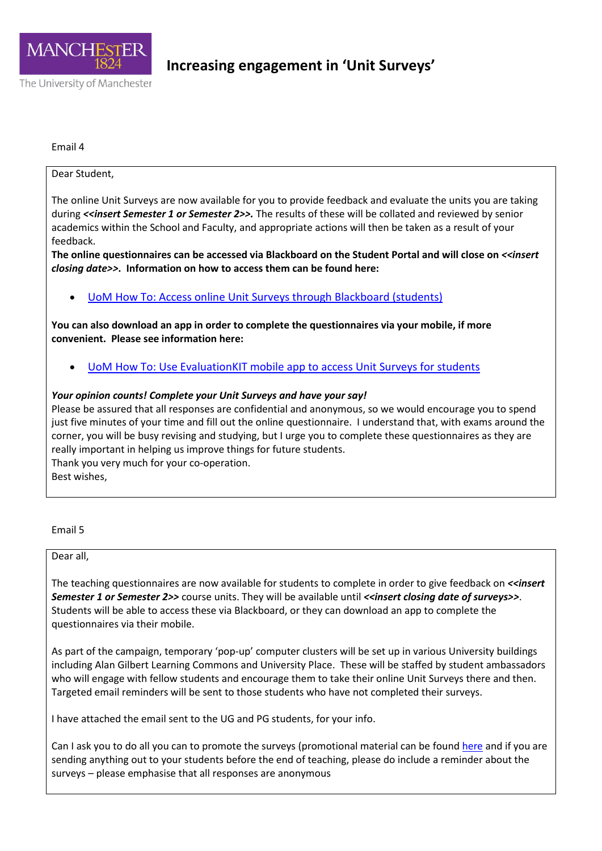

Email 4

#### Dear Student,

The online Unit Surveys are now available for you to provide feedback and evaluate the units you are taking during **<<insert Semester 1 or Semester 2>>**. The results of these will be collated and reviewed by senior academics within the School and Faculty, and appropriate actions will then be taken as a result of your feedback.

**The online questionnaires can be accessed via Blackboard on the Student Portal and will close on** *<<insert closing date>>***. Information on how to access them can be found here:**

• [UoM How To: Access online Unit Surveys through Blackboard \(students\)](http://documents.manchester.ac.uk/display.aspx?DocID=15645)

**You can also download an app in order to complete the questionnaires via your mobile, if more convenient. Please see information here:**

• [UoM How To: Use EvaluationKIT mobile app to access Unit Surveys for students](http://documents.manchester.ac.uk/display.aspx?DocID=15638)

#### *Your opinion counts! Complete your Unit Surveys and have your say!*

Please be assured that all responses are confidential and anonymous, so we would encourage you to spend just five minutes of your time and fill out the online questionnaire. I understand that, with exams around the corner, you will be busy revising and studying, but I urge you to complete these questionnaires as they are really important in helping us improve things for future students. Thank you very much for your co-operation.

Best wishes,

Email 5

Dear all,

The teaching questionnaires are now available for students to complete in order to give feedback on *<<insert Semester 1 or Semester 2>>* course units. They will be available until *<<insert closing date of surveys>>*. Students will be able to access these via Blackboard, or they can download an app to complete the questionnaires via their mobile.

As part of the campaign, temporary 'pop-up' computer clusters will be set up in various University buildings including Alan Gilbert Learning Commons and University Place. These will be staffed by student ambassadors who will engage with fellow students and encourage them to take their online Unit Surveys there and then. Targeted email reminders will be sent to those students who have not completed their surveys.

I have attached the email sent to the UG and PG students, for your info.

Can I ask you to do all you can to promote the surveys (promotional material can be found [here](http://www.staffnet.manchester.ac.uk/supporting-students/student-experience/unit-surveys/) and if you are sending anything out to your students before the end of teaching, please do include a reminder about the surveys – please emphasise that all responses are anonymous